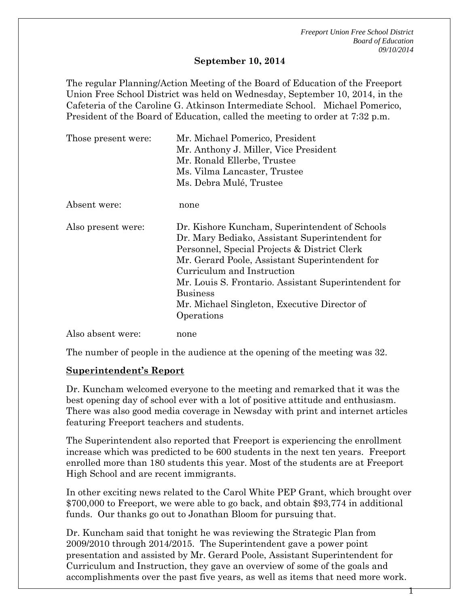### **September 10, 2014**

The regular Planning/Action Meeting of the Board of Education of the Freeport Union Free School District was held on Wednesday, September 10, 2014, in the Cafeteria of the Caroline G. Atkinson Intermediate School. Michael Pomerico, President of the Board of Education, called the meeting to order at 7:32 p.m.

| Those present were: | Mr. Michael Pomerico, President<br>Mr. Anthony J. Miller, Vice President<br>Mr. Ronald Ellerbe, Trustee<br>Ms. Vilma Lancaster, Trustee                                                                                                                                                                                                                                   |
|---------------------|---------------------------------------------------------------------------------------------------------------------------------------------------------------------------------------------------------------------------------------------------------------------------------------------------------------------------------------------------------------------------|
|                     | Ms. Debra Mulé, Trustee                                                                                                                                                                                                                                                                                                                                                   |
| Absent were:        | none                                                                                                                                                                                                                                                                                                                                                                      |
| Also present were:  | Dr. Kishore Kuncham, Superintendent of Schools<br>Dr. Mary Bediako, Assistant Superintendent for<br>Personnel, Special Projects & District Clerk<br>Mr. Gerard Poole, Assistant Superintendent for<br>Curriculum and Instruction<br>Mr. Louis S. Frontario. Assistant Superintendent for<br><b>Business</b><br>Mr. Michael Singleton, Executive Director of<br>Operations |
| Also absent were:   | none                                                                                                                                                                                                                                                                                                                                                                      |

The number of people in the audience at the opening of the meeting was 32.

### **Superintendent's Report**

Dr. Kuncham welcomed everyone to the meeting and remarked that it was the best opening day of school ever with a lot of positive attitude and enthusiasm. There was also good media coverage in Newsday with print and internet articles featuring Freeport teachers and students.

The Superintendent also reported that Freeport is experiencing the enrollment increase which was predicted to be 600 students in the next ten years. Freeport enrolled more than 180 students this year. Most of the students are at Freeport High School and are recent immigrants.

In other exciting news related to the Carol White PEP Grant, which brought over \$700,000 to Freeport, we were able to go back, and obtain \$93,774 in additional funds. Our thanks go out to Jonathan Bloom for pursuing that.

Dr. Kuncham said that tonight he was reviewing the Strategic Plan from 2009/2010 through 2014/2015. The Superintendent gave a power point presentation and assisted by Mr. Gerard Poole, Assistant Superintendent for Curriculum and Instruction, they gave an overview of some of the goals and accomplishments over the past five years, as well as items that need more work.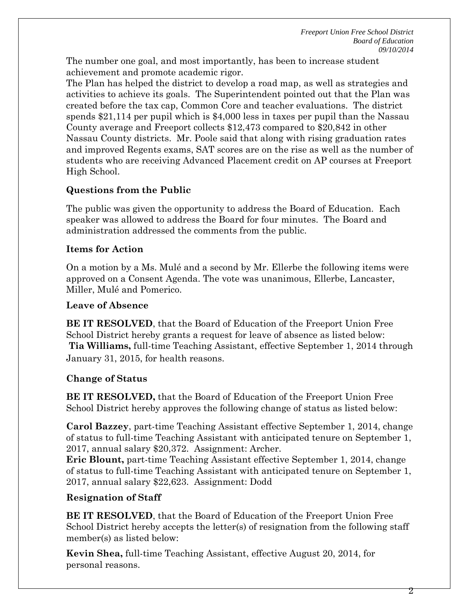The number one goal, and most importantly, has been to increase student achievement and promote academic rigor.

The Plan has helped the district to develop a road map, as well as strategies and activities to achieve its goals. The Superintendent pointed out that the Plan was created before the tax cap, Common Core and teacher evaluations. The district spends \$21,114 per pupil which is \$4,000 less in taxes per pupil than the Nassau County average and Freeport collects \$12,473 compared to \$20,842 in other Nassau County districts. Mr. Poole said that along with rising graduation rates and improved Regents exams, SAT scores are on the rise as well as the number of students who are receiving Advanced Placement credit on AP courses at Freeport High School.

# **Questions from the Public**

The public was given the opportunity to address the Board of Education. Each speaker was allowed to address the Board for four minutes. The Board and administration addressed the comments from the public.

## **Items for Action**

On a motion by a Ms. Mulé and a second by Mr. Ellerbe the following items were approved on a Consent Agenda. The vote was unanimous, Ellerbe, Lancaster, Miller, Mulé and Pomerico.

### **Leave of Absence**

**BE IT RESOLVED**, that the Board of Education of the Freeport Union Free School District hereby grants a request for leave of absence as listed below: **Tia Williams,** full-time Teaching Assistant, effective September 1, 2014 through January 31, 2015, for health reasons.

# **Change of Status**

**BE IT RESOLVED,** that the Board of Education of the Freeport Union Free School District hereby approves the following change of status as listed below:

**Carol Bazzey**, part-time Teaching Assistant effective September 1, 2014, change of status to full-time Teaching Assistant with anticipated tenure on September 1, 2017, annual salary \$20,372. Assignment: Archer.

**Eric Blount,** part-time Teaching Assistant effective September 1, 2014, change of status to full-time Teaching Assistant with anticipated tenure on September 1, 2017, annual salary \$22,623. Assignment: Dodd

# **Resignation of Staff**

**BE IT RESOLVED**, that the Board of Education of the Freeport Union Free School District hereby accepts the letter(s) of resignation from the following staff member(s) as listed below:

**Kevin Shea,** full-time Teaching Assistant, effective August 20, 2014, for personal reasons.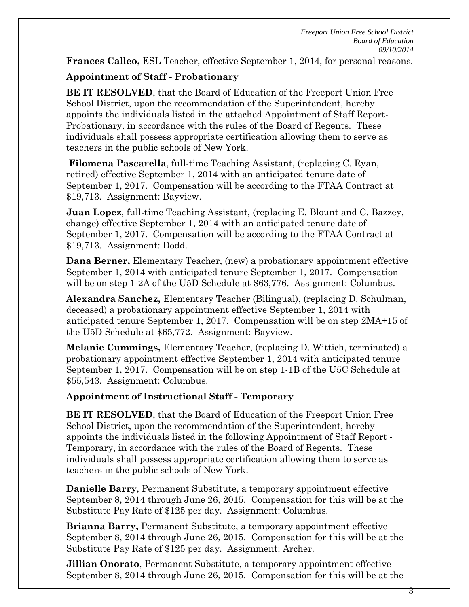**Frances Calleo,** ESL Teacher, effective September 1, 2014, for personal reasons.

## **Appointment of Staff - Probationary**

**BE IT RESOLVED**, that the Board of Education of the Freeport Union Free School District, upon the recommendation of the Superintendent, hereby appoints the individuals listed in the attached Appointment of Staff Report-Probationary, in accordance with the rules of the Board of Regents. These individuals shall possess appropriate certification allowing them to serve as teachers in the public schools of New York.

**Filomena Pascarella**, full-time Teaching Assistant, (replacing C. Ryan, retired) effective September 1, 2014 with an anticipated tenure date of September 1, 2017. Compensation will be according to the FTAA Contract at \$19,713. Assignment: Bayview.

**Juan Lopez**, full-time Teaching Assistant, (replacing E. Blount and C. Bazzey, change) effective September 1, 2014 with an anticipated tenure date of September 1, 2017. Compensation will be according to the FTAA Contract at \$19,713. Assignment: Dodd.

**Dana Berner,** Elementary Teacher, (new) a probationary appointment effective September 1, 2014 with anticipated tenure September 1, 2017. Compensation will be on step 1-2A of the U5D Schedule at \$63,776. Assignment: Columbus.

**Alexandra Sanchez,** Elementary Teacher (Bilingual), (replacing D. Schulman, deceased) a probationary appointment effective September 1, 2014 with anticipated tenure September 1, 2017. Compensation will be on step 2MA+15 of the U5D Schedule at \$65,772. Assignment: Bayview.

**Melanie Cummings,** Elementary Teacher, (replacing D. Wittich, terminated) a probationary appointment effective September 1, 2014 with anticipated tenure September 1, 2017. Compensation will be on step 1-1B of the U5C Schedule at \$55,543. Assignment: Columbus.

### **Appointment of Instructional Staff - Temporary**

**BE IT RESOLVED**, that the Board of Education of the Freeport Union Free School District, upon the recommendation of the Superintendent, hereby appoints the individuals listed in the following Appointment of Staff Report - Temporary, in accordance with the rules of the Board of Regents. These individuals shall possess appropriate certification allowing them to serve as teachers in the public schools of New York.

**Danielle Barry**, Permanent Substitute, a temporary appointment effective September 8, 2014 through June 26, 2015. Compensation for this will be at the Substitute Pay Rate of \$125 per day. Assignment: Columbus.

**Brianna Barry,** Permanent Substitute, a temporary appointment effective September 8, 2014 through June 26, 2015. Compensation for this will be at the Substitute Pay Rate of \$125 per day. Assignment: Archer.

**Jillian Onorato**, Permanent Substitute, a temporary appointment effective September 8, 2014 through June 26, 2015. Compensation for this will be at the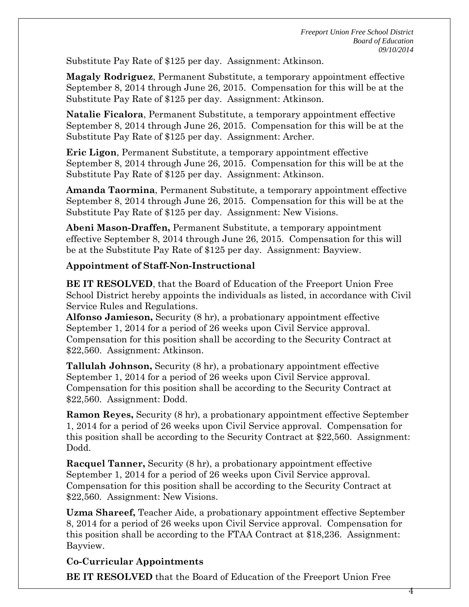Substitute Pay Rate of \$125 per day. Assignment: Atkinson.

**Magaly Rodriguez**, Permanent Substitute, a temporary appointment effective September 8, 2014 through June 26, 2015. Compensation for this will be at the Substitute Pay Rate of \$125 per day. Assignment: Atkinson.

**Natalie Ficalora**, Permanent Substitute, a temporary appointment effective September 8, 2014 through June 26, 2015. Compensation for this will be at the Substitute Pay Rate of \$125 per day. Assignment: Archer.

**Eric Ligon**, Permanent Substitute, a temporary appointment effective September 8, 2014 through June 26, 2015. Compensation for this will be at the Substitute Pay Rate of \$125 per day. Assignment: Atkinson.

**Amanda Taormina**, Permanent Substitute, a temporary appointment effective September 8, 2014 through June 26, 2015. Compensation for this will be at the Substitute Pay Rate of \$125 per day. Assignment: New Visions.

**Abeni Mason-Draffen,** Permanent Substitute, a temporary appointment effective September 8, 2014 through June 26, 2015. Compensation for this will be at the Substitute Pay Rate of \$125 per day. Assignment: Bayview.

## **Appointment of Staff-Non-Instructional**

**BE IT RESOLVED**, that the Board of Education of the Freeport Union Free School District hereby appoints the individuals as listed, in accordance with Civil Service Rules and Regulations.

**Alfonso Jamieson,** Security (8 hr), a probationary appointment effective September 1, 2014 for a period of 26 weeks upon Civil Service approval. Compensation for this position shall be according to the Security Contract at \$22,560. Assignment: Atkinson.

**Tallulah Johnson,** Security (8 hr), a probationary appointment effective September 1, 2014 for a period of 26 weeks upon Civil Service approval. Compensation for this position shall be according to the Security Contract at \$22,560. Assignment: Dodd.

**Ramon Reyes,** Security (8 hr), a probationary appointment effective September 1, 2014 for a period of 26 weeks upon Civil Service approval. Compensation for this position shall be according to the Security Contract at \$22,560. Assignment: Dodd.

**Racquel Tanner,** Security (8 hr), a probationary appointment effective September 1, 2014 for a period of 26 weeks upon Civil Service approval. Compensation for this position shall be according to the Security Contract at \$22,560. Assignment: New Visions.

**Uzma Shareef,** Teacher Aide, a probationary appointment effective September 8, 2014 for a period of 26 weeks upon Civil Service approval. Compensation for this position shall be according to the FTAA Contract at \$18,236. Assignment: Bayview.

# **Co-Curricular Appointments**

**BE IT RESOLVED** that the Board of Education of the Freeport Union Free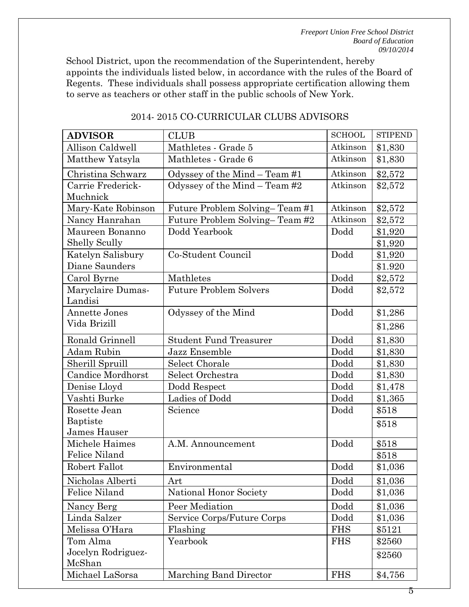School District, upon the recommendation of the Superintendent, hereby appoints the individuals listed below, in accordance with the rules of the Board of Regents. These individuals shall possess appropriate certification allowing them to serve as teachers or other staff in the public schools of New York.

| <b>ADVISOR</b>                | <b>CLUB</b>                     | <b>SCHOOL</b> | <b>STIPEND</b> |
|-------------------------------|---------------------------------|---------------|----------------|
| Allison Caldwell              | Atkinson<br>Mathletes - Grade 5 |               | \$1,830        |
| Matthew Yatsyla               | Mathletes - Grade 6             | Atkinson      | \$1,830        |
| Christina Schwarz             | Odyssey of the Mind - Team #1   | Atkinson      | \$2,572        |
| Carrie Frederick-<br>Muchnick | Odyssey of the Mind - Team #2   | Atkinson      | \$2,572        |
| Mary-Kate Robinson            | Future Problem Solving-Team #1  | Atkinson      | \$2,572        |
| Nancy Hanrahan                | Future Problem Solving-Team #2  | Atkinson      | \$2,572        |
| Maureen Bonanno               | Dodd Yearbook                   | Dodd          | \$1,920        |
| <b>Shelly Scully</b>          |                                 |               | \$1,920        |
| Katelyn Salisbury             | Co-Student Council              | Dodd          | \$1,920        |
| Diane Saunders                |                                 |               | \$1.920        |
| Carol Byrne                   | Mathletes                       | Dodd          | \$2,572        |
| Maryclaire Dumas-<br>Landisi  | <b>Future Problem Solvers</b>   | Dodd          | \$2,572        |
| <b>Annette Jones</b>          | Odyssey of the Mind             | Dodd          | \$1,286        |
| Vida Brizill                  |                                 |               | \$1,286        |
| Ronald Grinnell               | <b>Student Fund Treasurer</b>   | Dodd          | \$1,830        |
| Adam Rubin                    | Jazz Ensemble                   | Dodd          | \$1,830        |
| Sherill Spruill               | Select Chorale                  | Dodd          | \$1,830        |
| <b>Candice Mordhorst</b>      | Select Orchestra                | Dodd          | \$1,830        |
| Denise Lloyd                  | Dodd Respect                    | Dodd          | \$1,478        |
| Vashti Burke                  | Ladies of Dodd                  | Dodd          | \$1,365        |
| Rosette Jean                  | Science                         | Dodd          | \$518          |
| Baptiste                      |                                 |               | \$518          |
| James Hauser                  |                                 |               |                |
| Michele Haimes                | A.M. Announcement               | Dodd          | \$518          |
| Felice Niland                 |                                 |               | \$518          |
| Robert Fallot                 | Environmental                   | Dodd          | \$1,036        |
| Nicholas Alberti              | Art                             | Dodd          | \$1,036        |
| <b>Felice Niland</b>          | National Honor Society          | Dodd          | \$1,036        |
| Nancy Berg                    | Peer Mediation                  | Dodd          | \$1,036        |
| Linda Salzer                  | Service Corps/Future Corps      | Dodd          | \$1,036        |
| Melissa O'Hara                | Flashing                        | <b>FHS</b>    | \$5121         |
| Tom Alma                      | Yearbook                        | <b>FHS</b>    | \$2560         |
| Jocelyn Rodriguez-<br>McShan  |                                 |               | \$2560         |
| Michael LaSorsa               | Marching Band Director          | <b>FHS</b>    | \$4,756        |

### 2014- 2015 CO-CURRICULAR CLUBS ADVISORS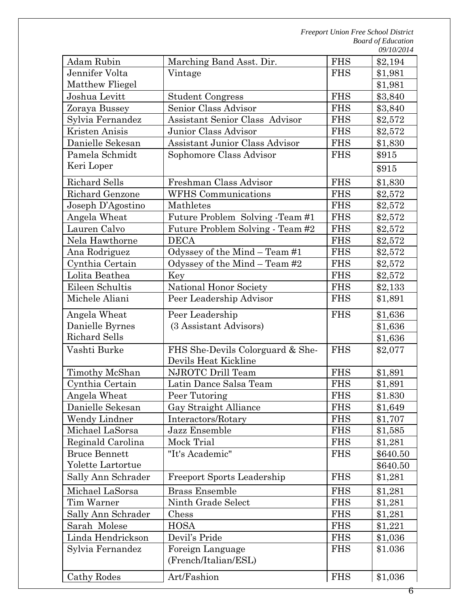| Adam Rubin           | Marching Band Asst. Dir.              | <b>FHS</b> | \$2,194  |
|----------------------|---------------------------------------|------------|----------|
| Jennifer Volta       | Vintage                               | <b>FHS</b> | \$1,981  |
| Matthew Fliegel      |                                       |            | \$1,981  |
| Joshua Levitt        | <b>Student Congress</b>               | <b>FHS</b> | \$3,840  |
| Zoraya Bussey        | Senior Class Advisor                  | <b>FHS</b> | \$3,840  |
| Sylvia Fernandez     | Assistant Senior Class Advisor        | <b>FHS</b> | \$2,572  |
| Kristen Anisis       | Junior Class Advisor                  | <b>FHS</b> | \$2,572  |
| Danielle Sekesan     | <b>Assistant Junior Class Advisor</b> | <b>FHS</b> | \$1,830  |
| Pamela Schmidt       | Sophomore Class Advisor               | <b>FHS</b> | \$915    |
| Keri Loper           |                                       |            | \$915    |
| Richard Sells        | Freshman Class Advisor                | <b>FHS</b> | \$1,830  |
| Richard Genzone      | <b>WFHS</b> Communications            | <b>FHS</b> | \$2,572  |
| Joseph D'Agostino    | Mathletes                             | <b>FHS</b> | \$2,572  |
| Angela Wheat         | Future Problem Solving -Team #1       | <b>FHS</b> | \$2,572  |
| Lauren Calvo         | Future Problem Solving - Team #2      | <b>FHS</b> | \$2,572  |
| Nela Hawthorne       | <b>DECA</b>                           | <b>FHS</b> | \$2,572  |
| Ana Rodriguez        | Odyssey of the Mind - Team #1         | <b>FHS</b> | \$2,572  |
| Cynthia Certain      | Odyssey of the Mind $-$ Team #2       | <b>FHS</b> | \$2,572  |
| Lolita Beathea       | Key                                   | <b>FHS</b> | \$2,572  |
| Eileen Schultis      | National Honor Society                | <b>FHS</b> | \$2,133  |
| Michele Aliani       | Peer Leadership Advisor               | <b>FHS</b> | \$1,891  |
| Angela Wheat         | Peer Leadership                       | <b>FHS</b> | \$1,636  |
| Danielle Byrnes      | (3 Assistant Advisors)                |            | \$1,636  |
| <b>Richard Sells</b> |                                       |            | \$1,636  |
| Vashti Burke         | FHS She-Devils Colorguard & She-      | <b>FHS</b> | \$2,077  |
|                      | Devils Heat Kickline                  |            |          |
| Timothy McShan       | NJROTC Drill Team                     | <b>FHS</b> | \$1,891  |
| Cynthia Certain      | Latin Dance Salsa Team                | <b>FHS</b> | \$1,891  |
| Angela Wheat         | Peer Tutoring                         | <b>FHS</b> | \$1.830  |
| Danielle Sekesan     | Gay Straight Alliance                 | <b>FHS</b> | \$1,649  |
| Wendy Lindner        | Interactors/Rotary                    | <b>FHS</b> | \$1,707  |
| Michael LaSorsa      | Jazz Ensemble                         | <b>FHS</b> | \$1,585  |
| Reginald Carolina    | Mock Trial                            | <b>FHS</b> | \$1,281  |
| <b>Bruce Bennett</b> | "It's Academic"                       | <b>FHS</b> | \$640.50 |
| Yolette Lartortue    |                                       |            | \$640.50 |
| Sally Ann Schrader   | <b>Freeport Sports Leadership</b>     | <b>FHS</b> | \$1,281  |
| Michael LaSorsa      | <b>Brass Ensemble</b>                 | <b>FHS</b> | \$1,281  |
| Tim Warner           | Ninth Grade Select                    | <b>FHS</b> | \$1,281  |
| Sally Ann Schrader   | Chess                                 | <b>FHS</b> | \$1,281  |
| Sarah Molese         | <b>HOSA</b>                           | <b>FHS</b> | \$1,221  |
| Linda Hendrickson    | Devil's Pride                         | <b>FHS</b> | \$1,036  |
| Sylvia Fernandez     | Foreign Language                      | <b>FHS</b> | \$1.036  |
|                      | (French/Italian/ESL)                  |            |          |
| Cathy Rodes          | Art/Fashion                           | <b>FHS</b> | \$1,036  |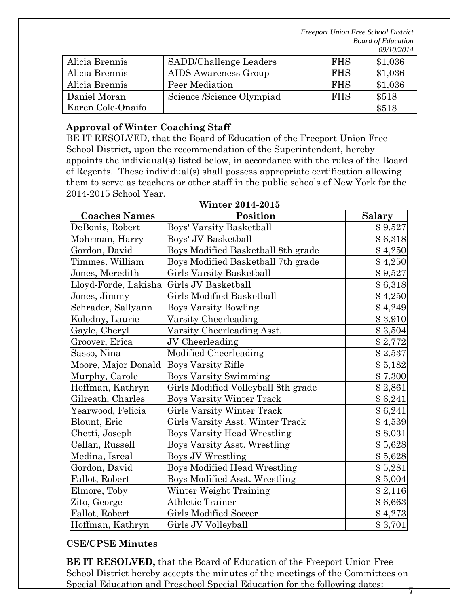|                   |                           |            | $\sqrt{2}$ |
|-------------------|---------------------------|------------|------------|
| Alicia Brennis    | SADD/Challenge Leaders    | <b>FHS</b> | \$1,036    |
| Alicia Brennis    | AIDS Awareness Group      | <b>FHS</b> | \$1,036    |
| Alicia Brennis    | Peer Mediation            | <b>FHS</b> | \$1,036    |
| Daniel Moran      | Science /Science Olympiad | <b>FHS</b> | \$518      |
| Karen Cole-Onaifo |                           |            | \$518      |

### **Approval of Winter Coaching Staff**

BE IT RESOLVED, that the Board of Education of the Freeport Union Free School District, upon the recommendation of the Superintendent, hereby appoints the individual(s) listed below, in accordance with the rules of the Board of Regents. These individual(s) shall possess appropriate certification allowing them to serve as teachers or other staff in the public schools of New York for the 2014-2015 School Year.

| <b>Coaches Names</b> | Position                            | <b>Salary</b> |
|----------------------|-------------------------------------|---------------|
| DeBonis, Robert      | Boys' Varsity Basketball            | \$9,527       |
| Mohrman, Harry       | Boys' JV Basketball                 | \$6,318       |
| Gordon, David        | Boys Modified Basketball 8th grade  | \$4,250       |
| Timmes, William      | Boys Modified Basketball 7th grade  | \$4,250       |
| Jones, Meredith      | Girls Varsity Basketball            | \$9,527       |
| Lloyd-Forde, Lakisha | Girls JV Basketball                 | \$6,318       |
| Jones, Jimmy         | <b>Girls Modified Basketball</b>    | \$4,250       |
| Schrader, Sallyann   | <b>Boys Varsity Bowling</b>         | \$4,249       |
| Kolodny, Laurie      | Varsity Cheerleading                | \$3,910       |
| Gayle, Cheryl        | Varsity Cheerleading Asst.          | \$3,504       |
| Groover, Erica       | JV Cheerleading                     | \$2,772       |
| Sasso, Nina          | Modified Cheerleading               | \$2,537       |
| Moore, Major Donald  | <b>Boys Varsity Rifle</b>           | \$5,182       |
| Murphy, Carole       | <b>Boys Varsity Swimming</b>        | \$7,300       |
| Hoffman, Kathryn     | Girls Modified Volleyball 8th grade | \$2,861       |
| Gilreath, Charles    | <b>Boys Varsity Winter Track</b>    | \$6,241       |
| Yearwood, Felicia    | Girls Varsity Winter Track          | \$6,241       |
| Blount, Eric         | Girls Varsity Asst. Winter Track    | \$4,539       |
| Chetti, Joseph       | <b>Boys Varsity Head Wrestling</b>  | \$8,031       |
| Cellan, Russell      | <b>Boys Varsity Asst. Wrestling</b> | \$5,628       |
| Medina, Isreal       | Boys JV Wrestling                   | \$5,628       |
| Gordon, David        | <b>Boys Modified Head Wrestling</b> | \$5,281       |
| Fallot, Robert       | Boys Modified Asst. Wrestling       | \$5,004       |
| Elmore, Toby         | Winter Weight Training              | \$2,116       |
| Zito, George         | Athletic Trainer                    | \$6,663       |
| Fallot, Robert       | <b>Girls Modified Soccer</b>        | \$4,273       |
| Hoffman, Kathryn     | Girls JV Volleyball                 | \$3,701       |

#### **Winter 2014-2015**

### **CSE/CPSE Minutes**

**BE IT RESOLVED,** that the Board of Education of the Freeport Union Free School District hereby accepts the minutes of the meetings of the Committees on Special Education and Preschool Special Education for the following dates: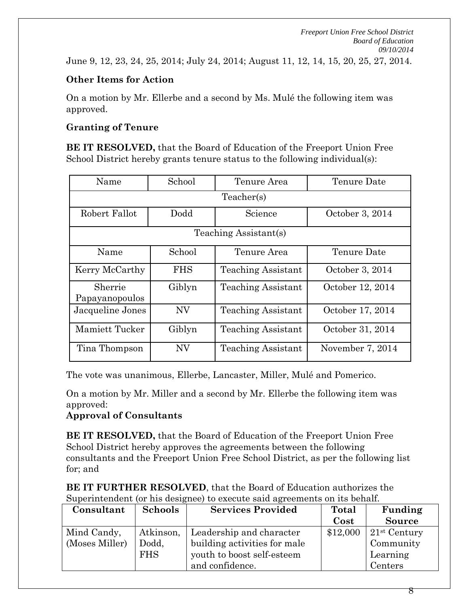June 9, 12, 23, 24, 25, 2014; July 24, 2014; August 11, 12, 14, 15, 20, 25, 27, 2014.

### **Other Items for Action**

On a motion by Mr. Ellerbe and a second by Ms. Mulé the following item was approved.

### **Granting of Tenure**

**BE IT RESOLVED,** that the Board of Education of the Freeport Union Free School District hereby grants tenure status to the following individual(s):

| Name                      | School     | Tenure Area               | Tenure Date      |  |  |  |  |
|---------------------------|------------|---------------------------|------------------|--|--|--|--|
|                           | Teacher(s) |                           |                  |  |  |  |  |
| Robert Fallot             | Dodd       | Science                   | October 3, 2014  |  |  |  |  |
|                           |            | Teaching Assistant(s)     |                  |  |  |  |  |
| Name                      | School     | Tenure Area               | Tenure Date      |  |  |  |  |
| Kerry McCarthy            | <b>FHS</b> | <b>Teaching Assistant</b> | October 3, 2014  |  |  |  |  |
| Sherrie<br>Papayanopoulos | Giblyn     | <b>Teaching Assistant</b> | October 12, 2014 |  |  |  |  |
| Jacqueline Jones          | NV         | <b>Teaching Assistant</b> | October 17, 2014 |  |  |  |  |
| Mamiett Tucker            | Giblyn     | Teaching Assistant        | October 31, 2014 |  |  |  |  |
| Tina Thompson             | <b>NV</b>  | Teaching Assistant        | November 7, 2014 |  |  |  |  |

The vote was unanimous, Ellerbe, Lancaster, Miller, Mulé and Pomerico.

On a motion by Mr. Miller and a second by Mr. Ellerbe the following item was approved:

### **Approval of Consultants**

**BE IT RESOLVED,** that the Board of Education of the Freeport Union Free School District hereby approves the agreements between the following consultants and the Freeport Union Free School District, as per the following list for; and

| <b>BE IT FURTHER RESOLVED, that the Board of Education authorizes the</b>  |
|----------------------------------------------------------------------------|
| Superintendent (or his designee) to execute said agreements on its behalf. |

| Consultant     | <b>Schools</b> | <b>Services Provided</b>     | Total    | Funding        |
|----------------|----------------|------------------------------|----------|----------------|
|                |                |                              | Cost     | <b>Source</b>  |
| Mind Candy,    | Atkinson,      | Leadership and character     | \$12,000 | $21st$ Century |
| (Moses Miller) | Dodd,          | building activities for male |          | Community      |
|                | <b>FHS</b>     | youth to boost self-esteem   |          | Learning       |
|                |                | and confidence.              |          | Centers        |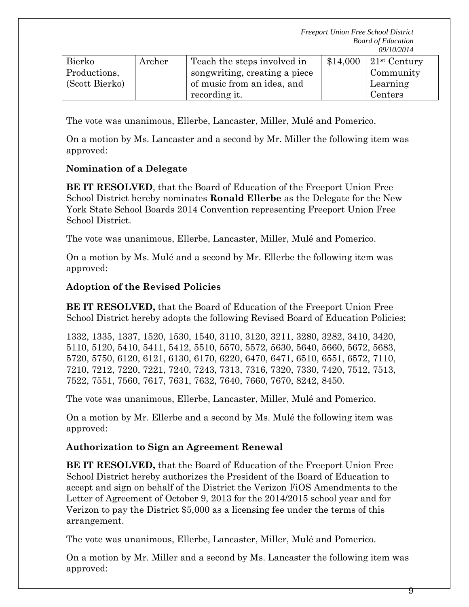| Bierko         | Archer | Teach the steps involved in   | \$14,000 | $\vert$ 21 <sup>st</sup> Century |
|----------------|--------|-------------------------------|----------|----------------------------------|
| Productions,   |        | songwriting, creating a piece |          | Community                        |
| (Scott Bierko) |        | of music from an idea, and    |          | Learning                         |
|                |        | recording it.                 |          | Centers                          |

The vote was unanimous, Ellerbe, Lancaster, Miller, Mulé and Pomerico.

On a motion by Ms. Lancaster and a second by Mr. Miller the following item was approved:

## **Nomination of a Delegate**

**BE IT RESOLVED**, that the Board of Education of the Freeport Union Free School District hereby nominates **Ronald Ellerbe** as the Delegate for the New York State School Boards 2014 Convention representing Freeport Union Free School District.

The vote was unanimous, Ellerbe, Lancaster, Miller, Mulé and Pomerico.

On a motion by Ms. Mulé and a second by Mr. Ellerbe the following item was approved:

## **Adoption of the Revised Policies**

**BE IT RESOLVED,** that the Board of Education of the Freeport Union Free School District hereby adopts the following Revised Board of Education Policies;

1332, 1335, 1337, 1520, 1530, 1540, 3110, 3120, 3211, 3280, 3282, 3410, 3420, 5110, 5120, 5410, 5411, 5412, 5510, 5570, 5572, 5630, 5640, 5660, 5672, 5683, 5720, 5750, 6120, 6121, 6130, 6170, 6220, 6470, 6471, 6510, 6551, 6572, 7110, 7210, 7212, 7220, 7221, 7240, 7243, 7313, 7316, 7320, 7330, 7420, 7512, 7513, 7522, 7551, 7560, 7617, 7631, 7632, 7640, 7660, 7670, 8242, 8450.

The vote was unanimous, Ellerbe, Lancaster, Miller, Mulé and Pomerico.

On a motion by Mr. Ellerbe and a second by Ms. Mulé the following item was approved:

# **Authorization to Sign an Agreement Renewal**

**BE IT RESOLVED,** that the Board of Education of the Freeport Union Free School District hereby authorizes the President of the Board of Education to accept and sign on behalf of the District the Verizon FiOS Amendments to the Letter of Agreement of October 9, 2013 for the 2014/2015 school year and for Verizon to pay the District \$5,000 as a licensing fee under the terms of this arrangement.

The vote was unanimous, Ellerbe, Lancaster, Miller, Mulé and Pomerico.

On a motion by Mr. Miller and a second by Ms. Lancaster the following item was approved: